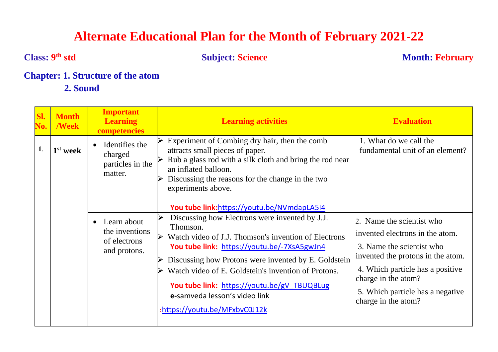# **Alternate Educational Plan for the Month of February 2021-22**

**Class: 9**

**the Subject: Science Month: February** 

# **Chapter: 1. Structure of the atom**

 **2. Sound**

| SI.<br>No. | <b>Month</b><br>/Week | <b>Important</b><br><b>Learning</b><br><b>competencies</b>    | <b>Learning activities</b>                                                                                                                                                                                                                                                                                                                                                                        | <b>Evaluation</b>                                                                                                                                                                                                                                    |
|------------|-----------------------|---------------------------------------------------------------|---------------------------------------------------------------------------------------------------------------------------------------------------------------------------------------------------------------------------------------------------------------------------------------------------------------------------------------------------------------------------------------------------|------------------------------------------------------------------------------------------------------------------------------------------------------------------------------------------------------------------------------------------------------|
| 1.         | 1 <sup>st</sup> week  | Identifies the<br>charged<br>particles in the<br>matter.      | Experiment of Combing dry hair, then the comb<br>attracts small pieces of paper.<br>Rub a glass rod with a silk cloth and bring the rod near<br>an inflated balloon.<br>Discussing the reasons for the change in the two<br>experiments above.<br>You tube link:https://youtu.be/NVmdapLA5I4                                                                                                      | 1. What do we call the<br>fundamental unit of an element?                                                                                                                                                                                            |
|            |                       | Learn about<br>the inventions<br>of electrons<br>and protons. | Discussing how Electrons were invented by J.J.<br>Thomson.<br>Watch video of J.J. Thomson's invention of Electrons<br>You tube link: https://youtu.be/-7XsA5gwJn4<br>Discussing how Protons were invented by E. Goldstein<br>Watch video of E. Goldstein's invention of Protons.<br>You tube link: https://youtu.be/gV TBUQBLug<br>e-samveda lesson's video link<br>:https://youtu.be/MFxbvC0J12k | 2. Name the scientist who<br>invented electrons in the atom.<br>3. Name the scientist who<br>invented the protons in the atom.<br>4. Which particle has a positive<br>charge in the atom?<br>5. Which particle has a negative<br>charge in the atom? |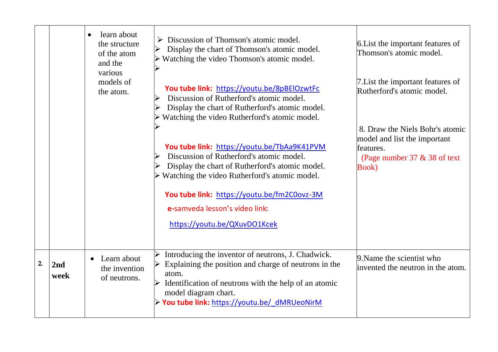|    |             | learn about<br>the structure<br>of the atom<br>and the<br>various<br>models of | Discussion of Thomson's atomic model.<br>Display the chart of Thomson's atomic model.<br>Watching the video Thomson's atomic model.                                                                                                                                                                                           | 6. List the important features of<br>Thomson's atomic model.<br>7. List the important features of |
|----|-------------|--------------------------------------------------------------------------------|-------------------------------------------------------------------------------------------------------------------------------------------------------------------------------------------------------------------------------------------------------------------------------------------------------------------------------|---------------------------------------------------------------------------------------------------|
|    |             | the atom.                                                                      | You tube link: https://youtu.be/8pBElOzwtFc<br>Discussion of Rutherford's atomic model.<br>Display the chart of Rutherford's atomic model.<br>Watching the video Rutherford's atomic model.                                                                                                                                   | Rutherford's atomic model.<br>8. Draw the Niels Bohr's atomic                                     |
|    |             |                                                                                | You tube link: https://youtu.be/TbAa9K41PVM<br>Discussion of Rutherford's atomic model.<br>Display the chart of Rutherford's atomic model.<br>$\triangleright$ Watching the video Rutherford's atomic model.<br>You tube link: https://youtu.be/fm2C0ovz-3M<br>e-samveda lesson's video link:<br>https://youtu.be/QXuvDO1Kcek | model and list the important<br>features.<br>(Page number $37 \& 38$ of text<br><b>Book</b> )     |
|    |             |                                                                                |                                                                                                                                                                                                                                                                                                                               |                                                                                                   |
| 2. | 2nd<br>week | Learn about<br>the invention<br>of neutrons.                                   | Introducing the inventor of neutrons, J. Chadwick.<br>Explaining the position and charge of neutrons in the<br>atom.<br>Identification of neutrons with the help of an atomic<br>model diagram chart.<br>> You tube link: https://youtu.be/ dMRUeoNirM                                                                        | 9. Name the scientist who<br>invented the neutron in the atom.                                    |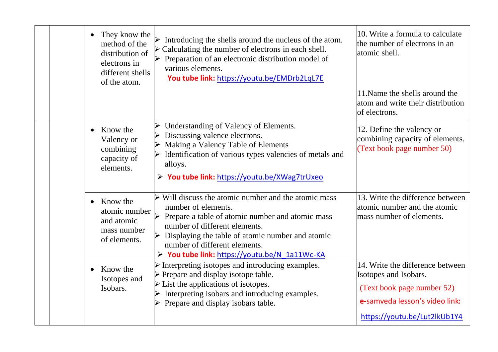| They know the<br>method of the<br>distribution of<br>electrons in<br>different shells<br>of the atom. | Introducing the shells around the nucleus of the atom.<br>$\triangleright$ Calculating the number of electrons in each shell.<br>Preparation of an electronic distribution model of<br>various elements.<br>You tube link: https://youtu.be/EMDrb2LqL7E                                                                                                 | 10. Write a formula to calculate<br>the number of electrons in an<br>atomic shell.                                                                        |
|-------------------------------------------------------------------------------------------------------|---------------------------------------------------------------------------------------------------------------------------------------------------------------------------------------------------------------------------------------------------------------------------------------------------------------------------------------------------------|-----------------------------------------------------------------------------------------------------------------------------------------------------------|
|                                                                                                       |                                                                                                                                                                                                                                                                                                                                                         | 11. Name the shells around the<br>atom and write their distribution<br>of electrons.                                                                      |
| Know the<br>Valency or<br>combining<br>capacity of<br>elements.                                       | Understanding of Valency of Elements.<br>Discussing valence electrons.<br>Making a Valency Table of Elements<br>Identification of various types valencies of metals and<br>alloys.<br>> You tube link: https://youtu.be/XWag7trUxeo                                                                                                                     | 12. Define the valency or<br>combining capacity of elements.<br>(Text book page number 50)                                                                |
| Know the<br>atomic number<br>and atomic<br>mass number<br>of elements.                                | $\triangleright$ Will discuss the atomic number and the atomic mass<br>number of elements.<br>$\triangleright$ Prepare a table of atomic number and atomic mass<br>number of different elements.<br>$\triangleright$ Displaying the table of atomic number and atomic<br>number of different elements.<br>> You tube link: https://youtu.be/N_1a11Wc-KA | 13. Write the difference between<br>atomic number and the atomic<br>mass number of elements.                                                              |
| Know the<br>Isotopes and<br>Isobars.                                                                  | $\triangleright$ Interpreting isotopes and introducing examples.<br>$\triangleright$ Prepare and display isotope table.<br>$\triangleright$ List the applications of isotopes.<br>Interpreting isobars and introducing examples.<br>$\triangleright$ Prepare and display isobars table.                                                                 | 14. Write the difference between<br>Isotopes and Isobars.<br>(Text book page number 52)<br>e-samveda lesson's video link:<br>https://youtu.be/Lut2lkUb1Y4 |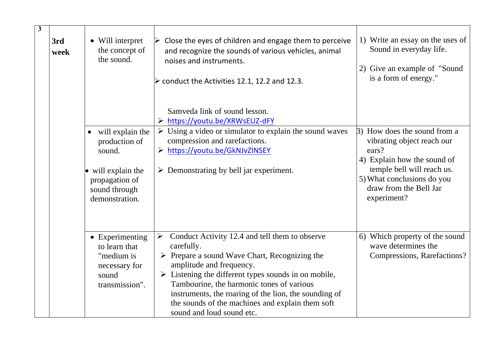| $\overline{\mathbf{3}}$ | • Will interpret<br>3rd<br>the concept of<br>week<br>the sound. |                                                                                                                                             | Close the eyes of children and engage them to perceive<br>and recognize the sounds of various vehicles, animal<br>noises and instruments.<br>$\triangleright$ conduct the Activities 12.1, 12.2 and 12.3.                                                                                                                                                                                                                                       | 1) Write an essay on the uses of<br>Sound in everyday life.<br>2) Give an example of "Sound"<br>is a form of energy."                                                                                   |
|-------------------------|-----------------------------------------------------------------|---------------------------------------------------------------------------------------------------------------------------------------------|-------------------------------------------------------------------------------------------------------------------------------------------------------------------------------------------------------------------------------------------------------------------------------------------------------------------------------------------------------------------------------------------------------------------------------------------------|---------------------------------------------------------------------------------------------------------------------------------------------------------------------------------------------------------|
|                         |                                                                 |                                                                                                                                             | Samveda link of sound lesson.<br>> https://youtu.be/XRWsEUZ-dFY                                                                                                                                                                                                                                                                                                                                                                                 |                                                                                                                                                                                                         |
|                         |                                                                 | will explain the<br>$\bullet$<br>production of<br>sound.<br>$\bullet$ will explain the<br>propagation of<br>sound through<br>demonstration. | $\triangleright$ Using a video or simulator to explain the sound waves<br>compression and rarefactions.<br>> https://youtu.be/GkNJvZINSEY<br>$\triangleright$ Demonstrating by bell jar experiment.                                                                                                                                                                                                                                             | 3) How does the sound from a<br>vibrating object reach our<br>ears?<br>4) Explain how the sound of<br>temple bell will reach us.<br>5) What conclusions do you<br>draw from the Bell Jar<br>experiment? |
|                         |                                                                 | • Experimenting<br>to learn that<br>"medium is<br>necessary for<br>sound<br>transmission".                                                  | Conduct Activity 12.4 and tell them to observe<br>$\blacktriangleright$<br>carefully.<br>$\triangleright$ Prepare a sound Wave Chart, Recognizing the<br>amplitude and frequency.<br>$\triangleright$ Listening the different types sounds in on mobile,<br>Tambourine, the harmonic tones of various<br>instruments, the roaring of the lion, the sounding of<br>the sounds of the machines and explain them soft<br>sound and loud sound etc. | 6) Which property of the sound<br>wave determines the<br>Compressions, Rarefactions?                                                                                                                    |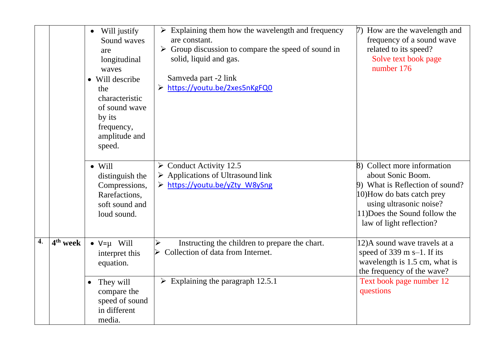|    |                      | Will justify<br>$\bullet$<br>Sound waves<br>are<br>longitudinal<br>waves<br>• Will describe<br>the<br>characteristic<br>of sound wave<br>by its<br>frequency,<br>amplitude and<br>speed. | $\triangleright$ Explaining them how the wavelength and frequency<br>are constant.<br>$\triangleright$ Group discussion to compare the speed of sound in<br>solid, liquid and gas.<br>Samveda part -2 link<br>> https://youtu.be/2xes5nKgFQ0 | 7) How are the wavelength and<br>frequency of a sound wave<br>related to its speed?<br>Solve text book page<br>number 176                                                                                 |
|----|----------------------|------------------------------------------------------------------------------------------------------------------------------------------------------------------------------------------|----------------------------------------------------------------------------------------------------------------------------------------------------------------------------------------------------------------------------------------------|-----------------------------------------------------------------------------------------------------------------------------------------------------------------------------------------------------------|
|    |                      | $\bullet$ Will<br>distinguish the<br>Compressions,<br>Rarefactions,<br>soft sound and<br>loud sound.                                                                                     | $\triangleright$ Conduct Activity 12.5<br>$\triangleright$ Applications of Ultrasound link<br>> https://youtu.be/yZty W8ySng                                                                                                                 | 8) Collect more information<br>about Sonic Boom.<br>9) What is Reflection of sound?<br>10) How do bats catch prey<br>using ultrasonic noise?<br>11) Does the Sound follow the<br>law of light reflection? |
| 4. | 4 <sup>th</sup> week | $\bullet$ V= $\mu$ Will<br>interpret this<br>equation.                                                                                                                                   | Instructing the children to prepare the chart.<br>➤<br>Collection of data from Internet.                                                                                                                                                     | 12)A sound wave travels at a<br>speed of $339 \text{ m s} - 1$ . If its<br>wavelength is 1.5 cm, what is<br>the frequency of the wave?                                                                    |
|    |                      | They will<br>$\bullet$<br>compare the<br>speed of sound<br>in different<br>media.                                                                                                        | $\triangleright$ Explaining the paragraph 12.5.1                                                                                                                                                                                             | Text book page number 12<br>questions                                                                                                                                                                     |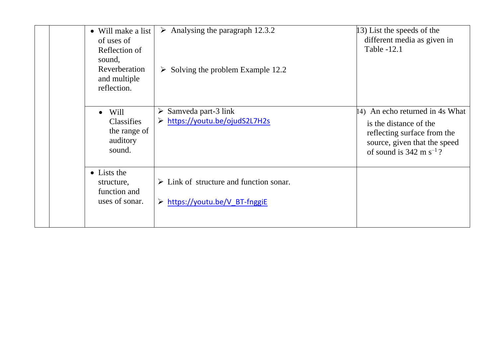| • Will make a list<br>of uses of<br>Reflection of<br>sound,<br>Reverberation<br>and multiple<br>reflection. | $\triangleright$ Analysing the paragraph 12.3.2<br>$\triangleright$ Solving the problem Example 12.2 | 13) List the speeds of the<br>different media as given in<br>Table -12.1                                                                                         |
|-------------------------------------------------------------------------------------------------------------|------------------------------------------------------------------------------------------------------|------------------------------------------------------------------------------------------------------------------------------------------------------------------|
| Will<br>$\bullet$<br>Classifies<br>the range of<br>auditory<br>sound.                                       | Samveda part-3 link<br>➤<br>> https://youtu.be/ojudS2L7H2s                                           | 14) An echo returned in 4s What<br>is the distance of the<br>reflecting surface from the<br>source, given that the speed<br>of sound is $342 \text{ m s}^{-1}$ ? |
| • Lists the<br>structure,<br>function and<br>uses of sonar.                                                 | $\triangleright$ Link of structure and function sonar.<br>> https://youtu.be/V BT-fnggiE             |                                                                                                                                                                  |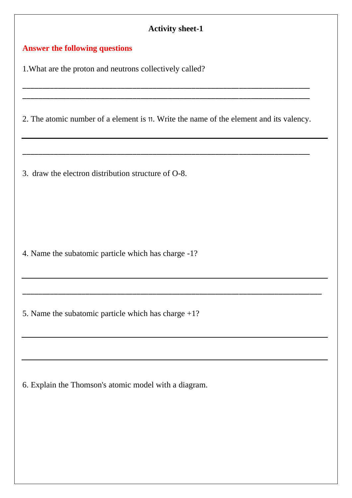### **Answer the following questions**

1.What are the proton and neutrons collectively called?

2. The atomic number of a element is 11. Write the name of the element and its valency.

\_\_\_\_\_\_\_\_\_\_\_\_\_\_\_\_\_\_\_\_\_\_\_\_\_\_\_\_\_\_\_\_\_\_\_\_\_\_\_\_\_\_\_\_\_\_\_\_\_\_\_\_\_\_\_\_\_\_\_\_\_\_\_\_\_\_\_\_\_\_\_\_\_

\_\_\_\_\_\_\_\_\_\_\_\_\_\_\_\_\_\_\_\_\_\_\_\_\_\_\_\_\_\_\_\_\_\_\_\_\_\_\_\_\_\_\_\_\_\_\_\_\_\_\_\_\_\_\_\_\_\_\_\_\_\_\_\_\_\_\_\_\_\_\_\_\_\_\_\_

\_\_\_\_\_\_\_\_\_\_\_\_\_\_\_\_\_\_\_\_\_\_\_\_\_\_\_\_\_\_\_\_\_\_\_\_\_\_\_\_\_\_\_\_\_\_\_\_\_\_\_\_\_\_\_\_\_\_\_\_\_\_\_\_\_\_\_\_\_\_\_\_\_ \_\_\_\_\_\_\_\_\_\_\_\_\_\_\_\_\_\_\_\_\_\_\_\_\_\_\_\_\_\_\_\_\_\_\_\_\_\_\_\_\_\_\_\_\_\_\_\_\_\_\_\_\_\_\_\_\_\_\_\_\_\_\_\_\_\_\_\_\_\_\_\_\_

3. draw the electron distribution structure of O-8.

4. Name the subatomic particle which has charge -1?

5. Name the subatomic particle which has charge +1?

6. Explain the Thomson's atomic model with a diagram.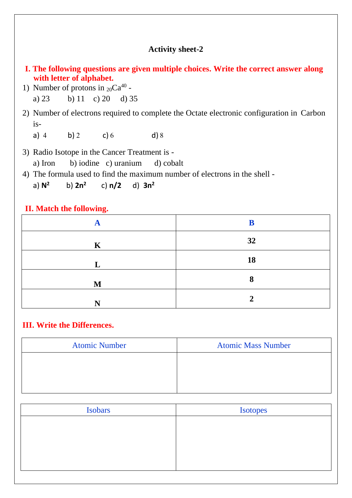- **I. The following questions are given multiple choices. Write the correct answer along with letter of alphabet.**
- 1) Number of protons in  $20Ca^{40}$  a) 23 b) 11 c) 20 d) 35

2) Number of electrons required to complete the Octate electronic configuration in Carbon is-

a) 4 b) 2 c) 6 d) 8

3) Radio Isotope in the Cancer Treatment is a) Iron b) iodine c) uranium d) cobalt

4) The formula used to find the maximum number of electrons in the shell -

a) **N<sup>2</sup>**  $b)$   $2n^2$ c) **n/2** d) **3n<sup>2</sup>**

### **II. Match the following.**

| А           | B  |
|-------------|----|
| $\mathbf K$ | 32 |
| L           | 18 |
| M           | 8  |
| N           | ◠  |

#### **III. Write the Differences.**

| <b>Atomic Number</b> | <b>Atomic Mass Number</b> |
|----------------------|---------------------------|
|                      |                           |
|                      |                           |
|                      |                           |

| Isobars | <b>Isotopes</b> |
|---------|-----------------|
|         |                 |
|         |                 |
|         |                 |
|         |                 |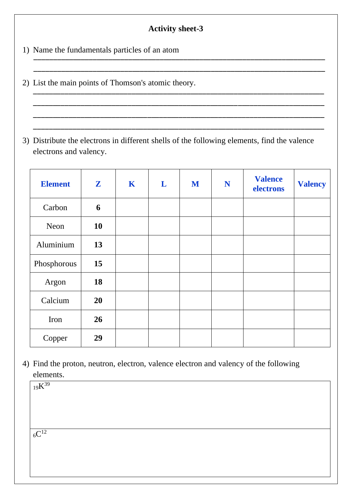$\overbrace{\hspace{2.5cm}}$  , and the contract of the contract of the contract of the contract of the contract of the contract of the contract of the contract of the contract of the contract of the contract of the contract of the cont  $\overline{\phantom{a}}$  , and the contract of the contract of the contract of the contract of the contract of the contract of the contract of the contract of the contract of the contract of the contract of the contract of the contrac

\_\_\_\_\_\_\_\_\_\_\_\_\_\_\_\_\_\_\_\_\_\_\_\_\_\_\_\_\_\_\_\_\_\_\_\_\_\_\_\_\_\_\_\_\_\_\_\_\_\_\_\_\_\_\_\_\_\_\_\_\_\_\_\_\_\_\_\_\_\_\_\_\_\_ \_\_\_\_\_\_\_\_\_\_\_\_\_\_\_\_\_\_\_\_\_\_\_\_\_\_\_\_\_\_\_\_\_\_\_\_\_\_\_\_\_\_\_\_\_\_\_\_\_\_\_\_\_\_\_\_\_\_\_\_\_\_\_\_\_\_\_\_\_\_\_\_\_\_ \_\_\_\_\_\_\_\_\_\_\_\_\_\_\_\_\_\_\_\_\_\_\_\_\_\_\_\_\_\_\_\_\_\_\_\_\_\_\_\_\_\_\_\_\_\_\_\_\_\_\_\_\_\_\_\_\_\_\_\_\_\_\_\_\_\_\_\_\_\_\_\_\_\_ \_\_\_\_\_\_\_\_\_\_\_\_\_\_\_\_\_\_\_\_\_\_\_\_\_\_\_\_\_\_\_\_\_\_\_\_\_\_\_\_\_\_\_\_\_\_\_\_\_\_\_\_\_\_\_\_\_\_\_\_\_\_\_\_\_\_\_\_\_\_\_\_\_\_

1) Name the fundamentals particles of an atom

- 2) List the main points of Thomson's atomic theory.
- 3) Distribute the electrons in different shells of the following elements, find the valence electrons and valency.

| <b>Element</b> | $\mathbf{Z}$ | K | L | M | N | <b>Valence</b><br>electrons | <b>Valency</b> |
|----------------|--------------|---|---|---|---|-----------------------------|----------------|
| Carbon         | 6            |   |   |   |   |                             |                |
| Neon           | <b>10</b>    |   |   |   |   |                             |                |
| Aluminium      | 13           |   |   |   |   |                             |                |
| Phosphorous    | 15           |   |   |   |   |                             |                |
| Argon          | 18           |   |   |   |   |                             |                |
| Calcium        | 20           |   |   |   |   |                             |                |
| Iron           | 26           |   |   |   |   |                             |                |
| Copper         | 29           |   |   |   |   |                             |                |

4) Find the proton, neutron, electron, valence electron and valency of the following elements.

<sup>19</sup>K 39

 $6C^{12}$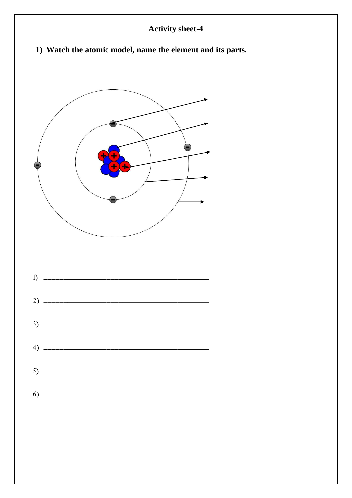1) Watch the atomic model, name the element and its parts.



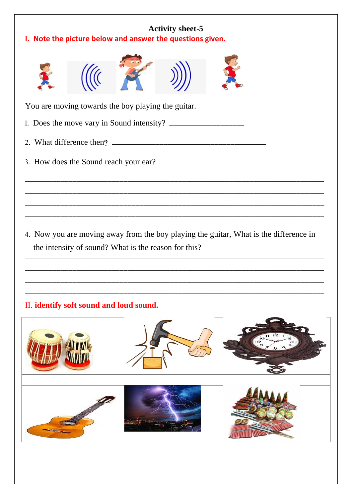| <b>Activity sheet-5</b><br>I. Note the picture below and answer the questions given. |                                                    |  |  |                                                                                       |  |  |  |  |
|--------------------------------------------------------------------------------------|----------------------------------------------------|--|--|---------------------------------------------------------------------------------------|--|--|--|--|
|                                                                                      |                                                    |  |  |                                                                                       |  |  |  |  |
|                                                                                      | You are moving towards the boy playing the guitar. |  |  |                                                                                       |  |  |  |  |
|                                                                                      |                                                    |  |  |                                                                                       |  |  |  |  |
|                                                                                      |                                                    |  |  |                                                                                       |  |  |  |  |
|                                                                                      | 3. How does the Sound reach your ear?              |  |  |                                                                                       |  |  |  |  |
|                                                                                      |                                                    |  |  |                                                                                       |  |  |  |  |
|                                                                                      |                                                    |  |  |                                                                                       |  |  |  |  |
|                                                                                      |                                                    |  |  |                                                                                       |  |  |  |  |
|                                                                                      |                                                    |  |  | 4. Now you are moving away from the boy playing the guitar, What is the difference in |  |  |  |  |

the intensity of sound? What is the reason for this?

\_\_\_\_\_\_\_\_\_\_\_\_\_\_\_\_\_\_\_\_\_\_\_\_\_\_\_\_\_\_\_\_\_\_\_\_\_\_\_\_\_\_\_\_\_\_\_\_\_\_\_\_\_\_\_\_\_\_\_\_\_\_\_\_\_\_\_\_\_\_\_\_\_\_\_\_ \_\_\_\_\_\_\_\_\_\_\_\_\_\_\_\_\_\_\_\_\_\_\_\_\_\_\_\_\_\_\_\_\_\_\_\_\_\_\_\_\_\_\_\_\_\_\_\_\_\_\_\_\_\_\_\_\_\_\_\_\_\_\_\_\_\_\_\_\_\_\_\_\_\_\_\_ \_\_\_\_\_\_\_\_\_\_\_\_\_\_\_\_\_\_\_\_\_\_\_\_\_\_\_\_\_\_\_\_\_\_\_\_\_\_\_\_\_\_\_\_\_\_\_\_\_\_\_\_\_\_\_\_\_\_\_\_\_\_\_\_\_\_\_\_\_\_\_\_\_\_\_\_ \_\_\_\_\_\_\_\_\_\_\_\_\_\_\_\_\_\_\_\_\_\_\_\_\_\_\_\_\_\_\_\_\_\_\_\_\_\_\_\_\_\_\_\_\_\_\_\_\_\_\_\_\_\_\_\_\_\_\_\_\_\_\_\_\_\_\_\_\_\_\_\_\_\_\_\_

# II. **identify soft sound and loud sound.**

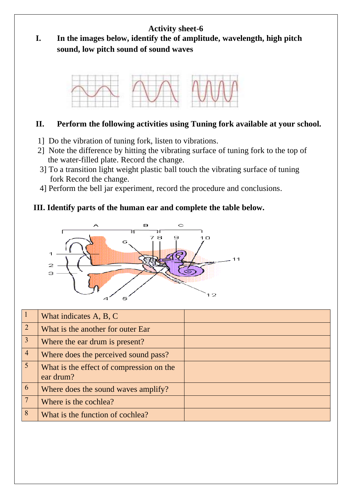**I. In the images below, identify the of amplitude, wavelength, high pitch sound, low pitch sound of sound waves**



### **II. Perform the following activities using Tuning fork available at your school.**

- 1] Do the vibration of tuning fork, listen to vibrations.
- 2] Note the difference by hitting the vibrating surface of tuning fork to the top of the water-filled plate. Record the change.
- 3] To a transition light weight plastic ball touch the vibrating surface of tuning fork Record the change.
- 4] Perform the bell jar experiment, record the procedure and conclusions.

### **III. Identify parts of the human ear and complete the table below.**



| $\vert$ 1       | What indicates A, B, C                                |  |
|-----------------|-------------------------------------------------------|--|
| $\overline{2}$  | What is the another for outer Ear                     |  |
| $\overline{3}$  | Where the ear drum is present?                        |  |
| $\overline{4}$  | Where does the perceived sound pass?                  |  |
| 5 <sup>5</sup>  | What is the effect of compression on the<br>ear drum? |  |
| 6               | Where does the sound waves amplify?                   |  |
| $7\phantom{.0}$ | Where is the cochlea?                                 |  |
| 8               | What is the function of cochlea?                      |  |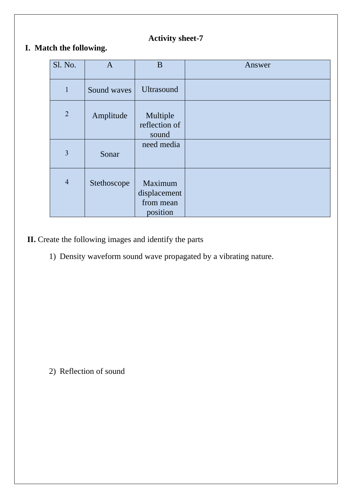## **I. Match the following.**

| Sl. No.        | $\mathbf{A}$ | B                                                | Answer |
|----------------|--------------|--------------------------------------------------|--------|
|                |              |                                                  |        |
| $\mathbf{1}$   | Sound waves  | <b>Ultrasound</b>                                |        |
| $\overline{2}$ | Amplitude    | Multiple<br>reflection of<br>sound               |        |
| 3              | Sonar        | need media                                       |        |
| $\overline{4}$ | Stethoscope  | Maximum<br>displacement<br>from mean<br>position |        |

**II.** Create the following images and identify the parts

1) Density waveform sound wave propagated by a vibrating nature.

2) Reflection of sound